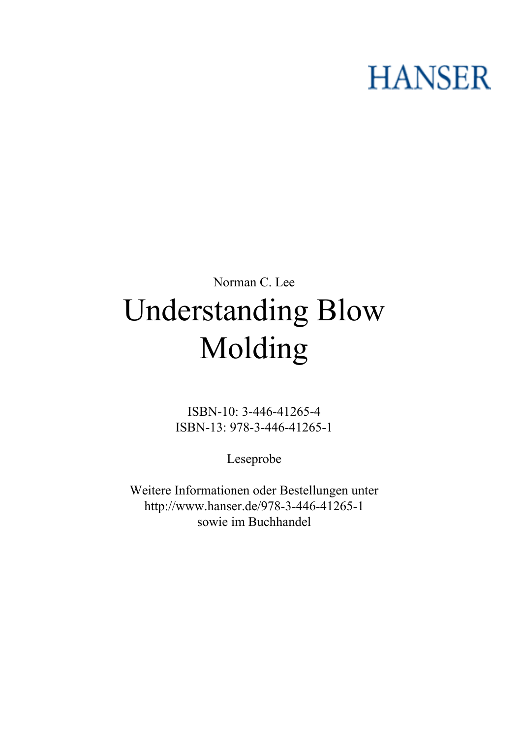# **HANSER**

## **Norman C. Lee Understanding Blow Molding**

**ISBN-10: 3-446-41265-4 ISBN-13: 978-3-446-41265-1**

**Leseprobe**

**Weitere Informationen oder Bestellungen unter <http://www.hanser.de/978-3-446-41265-1> sowie im Buchhandel**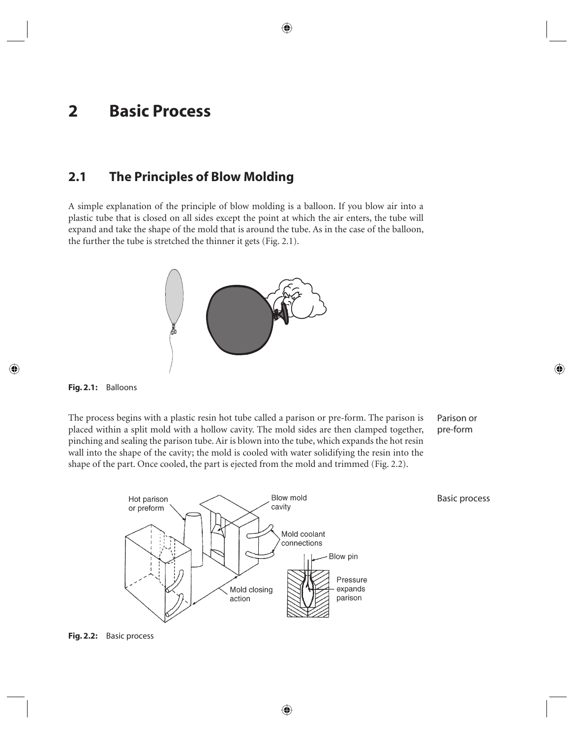## **2 Basic Process**

#### **2.1 The Principles of Blow Molding**

A simple explanation of the principle of blow molding is a balloon. If you blow air into a plastic tube that is closed on all sides except the point at which the air enters, the tube will expand and take the shape of the mold that is around the tube. As in the case of the balloon, the further the tube is stretched the thinner it gets (Fig. 2.1).





The process begins with a plastic resin hot tube called a parison or pre-form. The parison is placed within a split mold with a hollow cavity. The mold sides are then clamped together, pinching and sealing the parison tube. Air is blown into the tube, which expands the hot resin wall into the shape of the cavity; the mold is cooled with water solidifying the resin into the shape of the part. Once cooled, the part is ejected from the mold and trimmed (Fig. 2.2).

Parison or pre-form

Basic process



**Fig. 2.2:** Basic process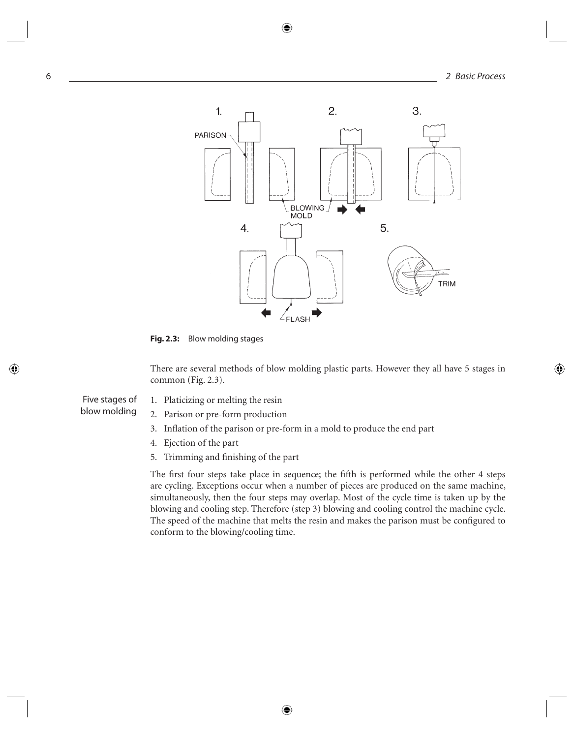

**Fig. 2.3:** Blow molding stages

There are several methods of blow molding plastic parts. However they all have 5 stages in common (Fig. 2.3).

Five stages of blow molding

- 1. Platicizing or melting the resin
- 2. Parison or pre-form production
- 3. Inflation of the parison or pre-form in a mold to produce the end part
- 4. Ejection of the part
- 5. Trimming and finishing of the part

The first four steps take place in sequence; the fifth is performed while the other 4 steps are cycling. Exceptions occur when a number of pieces are produced on the same machine, simultaneously, then the four steps may overlap. Most of the cycle time is taken up by the blowing and cooling step. Therefore (step 3) blowing and cooling control the machine cycle. The speed of the machine that melts the resin and makes the parison must be configured to conform to the blowing/cooling time.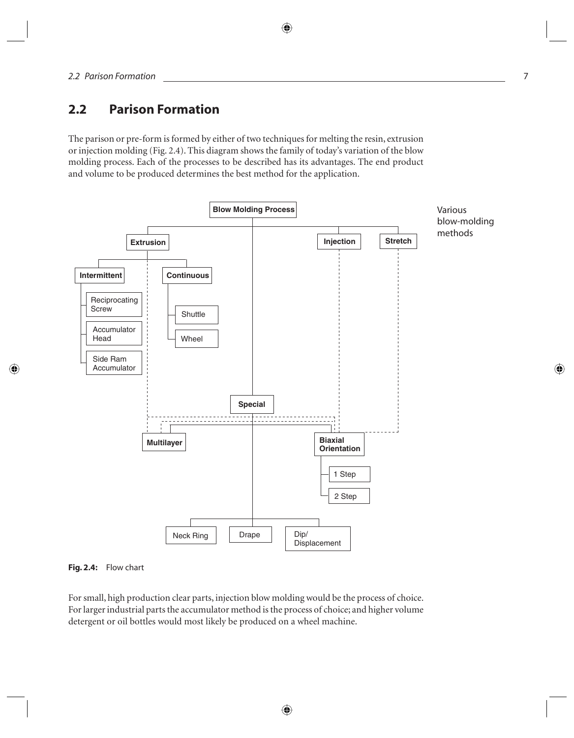### **2.2 Parison Formation**

The parison or pre-form is formed by either of two techniques for melting the resin, extrusion or injection molding (Fig. 2.4). This diagram shows the family of today's variation of the blow molding process. Each of the processes to be described has its advantages. The end product and volume to be produced determines the best method for the application.





For small, high production clear parts, injection blow molding would be the process of choice. For larger industrial parts the accumulator method is the process of choice; and higher volume detergent or oil bottles would most likely be produced on a wheel machine.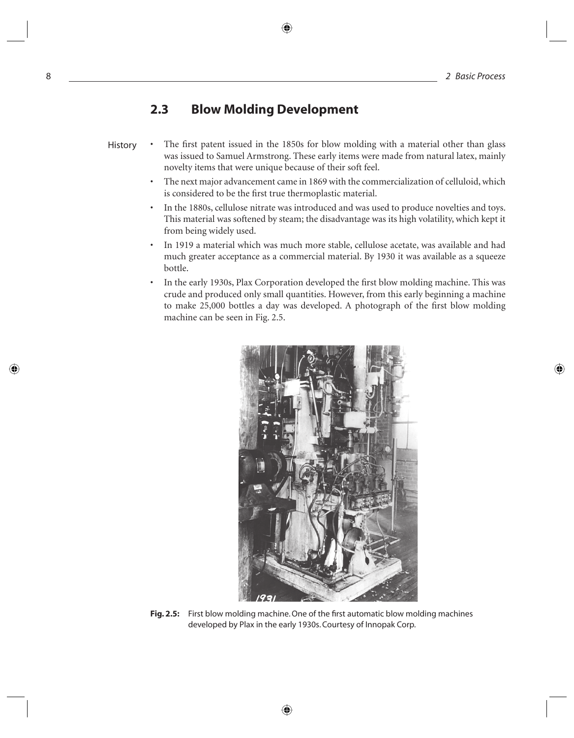#### **2.3 Blow Molding Development**

- The first patent issued in the 1850s for blow molding with a material other than glass was issued to Samuel Armstrong. These early items were made from natural latex, mainly novelty items that were unique because of their soft feel. History
	- The next major advancement came in 1869 with the commercialization of celluloid, which is considered to be the first true thermoplastic material.
	- In the 1880s, cellulose nitrate was introduced and was used to produce novelties and toys. This material was softened by steam; the disadvantage was its high volatility, which kept it from being widely used.
	- In 1919 a material which was much more stable, cellulose acetate, was available and had much greater acceptance as a commercial material. By 1930 it was available as a squeeze bottle.
	- In the early 1930s, Plax Corporation developed the first blow molding machine. This was crude and produced only small quantities. However, from this early beginning a machine to make 25,000 bottles a day was developed. A photograph of the first blow molding machine can be seen in Fig. 2.5.



**Fig. 2.5:** First blow molding machine. One of the first automatic blow molding machines developed by Plax in the early 1930s. Courtesy of Innopak Corp.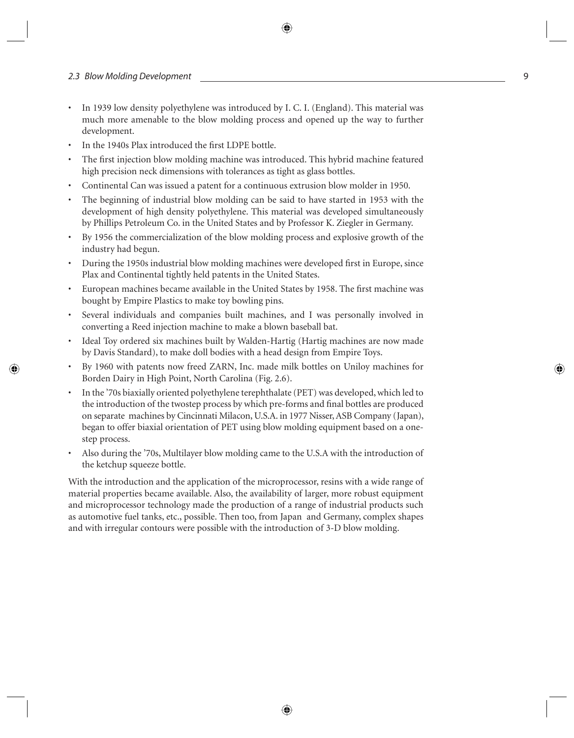- In 1939 low density polyethylene was introduced by I. C. I. (England). This material was much more amenable to the blow molding process and opened up the way to further development.
- In the 1940s Plax introduced the first LDPE bottle.
- The first injection blow molding machine was introduced. This hybrid machine featured high precision neck dimensions with tolerances as tight as glass bottles.
- Continental Can was issued a patent for a continuous extrusion blow molder in 1950.
- The beginning of industrial blow molding can be said to have started in 1953 with the development of high density polyethylene. This material was developed simultaneously by Phillips Petroleum Co. in the United States and by Professor K. Ziegler in Germany.
- By 1956 the commercialization of the blow molding process and explosive growth of the industry had begun.
- During the 1950s industrial blow molding machines were developed first in Europe, since Plax and Continental tightly held patents in the United States.
- European machines became available in the United States by 1958. The first machine was bought by Empire Plastics to make toy bowling pins.
- Several individuals and companies built machines, and I was personally involved in converting a Reed injection machine to make a blown baseball bat.
- Ideal Toy ordered six machines built by Walden-Hartig (Hartig machines are now made by Davis Standard), to make doll bodies with a head design from Empire Toys.
- By 1960 with patents now freed ZARN, Inc. made milk bottles on Uniloy machines for Borden Dairy in High Point, North Carolina (Fig. 2.6).
- In the '70s biaxially oriented polyethylene terephthalate (PET) was developed, which led to the introduction of the twostep process by which pre-forms and final bottles are produced on separate machines by Cincinnati Milacon, U.S.A. in 1977 Nisser, ASB Company (Japan), began to offer biaxial orientation of PET using blow molding equipment based on a onestep process.
- Also during the '70s, Multilayer blow molding came to the U.S.A with the introduction of the ketchup squeeze bottle.

With the introduction and the application of the microprocessor, resins with a wide range of material properties became available. Also, the availability of larger, more robust equipment and microprocessor technology made the production of a range of industrial products such as automotive fuel tanks, etc., possible. Then too, from Japan and Germany, complex shapes and with irregular contours were possible with the introduction of 3-D blow molding.